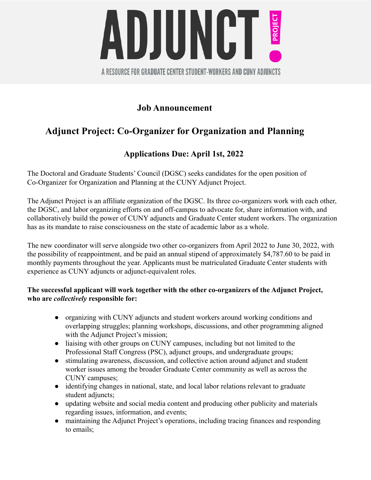

### **Job Announcement**

# **Adjunct Project: Co-Organizer for Organization and Planning**

## **Applications Due: April 1st, 2022**

The Doctoral and Graduate Students' Council (DGSC) seeks candidates for the open position of Co-Organizer for Organization and Planning at the CUNY Adjunct Project.

The Adjunct Project is an affiliate organization of the DGSC. Its three co-organizers work with each other, the DGSC, and labor organizing efforts on and off-campus to advocate for, share information with, and collaboratively build the power of CUNY adjuncts and Graduate Center student workers. The organization has as its mandate to raise consciousness on the state of academic labor as a whole.

The new coordinator will serve alongside two other co-organizers from April 2022 to June 30, 2022, with the possibility of reappointment, and be paid an annual stipend of approximately \$4,787.60 to be paid in monthly payments throughout the year. Applicants must be matriculated Graduate Center students with experience as CUNY adjuncts or adjunct-equivalent roles.

#### **The successful applicant will work together with the other co-organizers of the Adjunct Project, who are** *collectively* **responsible for:**

- organizing with CUNY adjuncts and student workers around working conditions and overlapping struggles; planning workshops, discussions, and other programming aligned with the Adjunct Project's mission;
- liaising with other groups on CUNY campuses, including but not limited to the Professional Staff Congress (PSC), adjunct groups, and undergraduate groups;
- stimulating awareness, discussion, and collective action around adjunct and student worker issues among the broader Graduate Center community as well as across the CUNY campuses;
- identifying changes in national, state, and local labor relations relevant to graduate student adjuncts;
- updating website and social media content and producing other publicity and materials regarding issues, information, and events;
- maintaining the Adjunct Project's operations, including tracing finances and responding to emails;